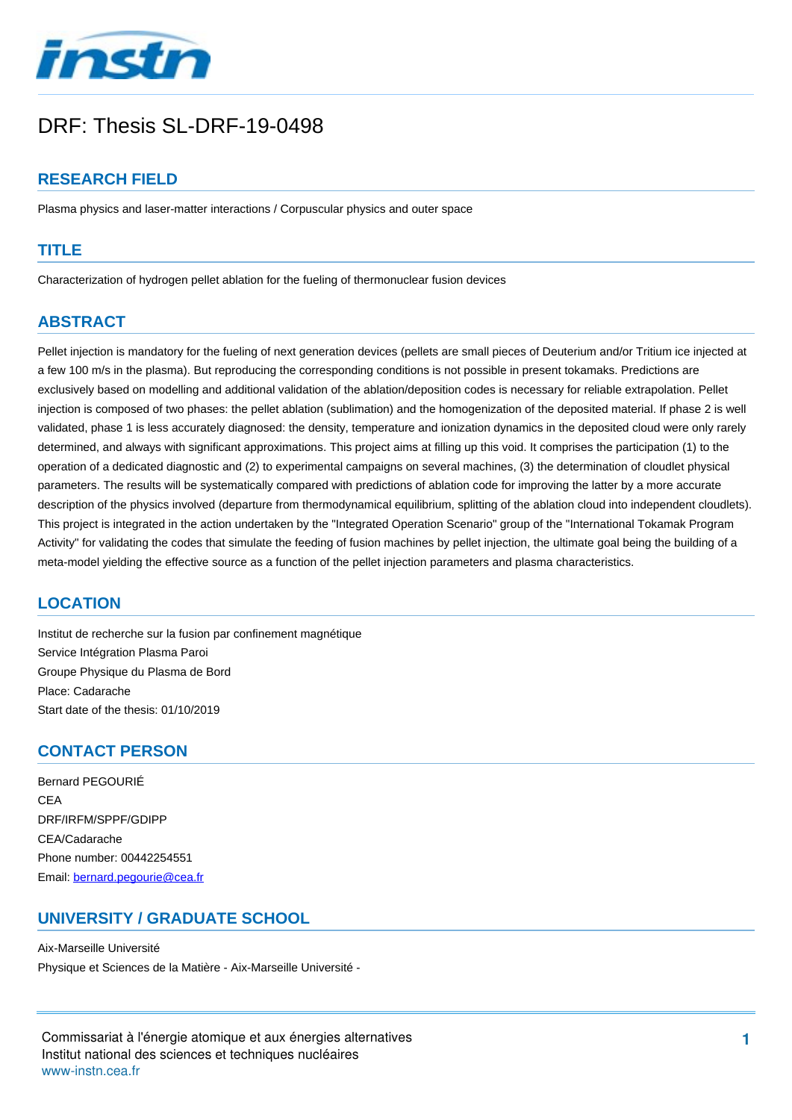

# DRF: Thesis SL-DRF-19-0498

# **RESEARCH FIELD**

Plasma physics and laser-matter interactions / Corpuscular physics and outer space

#### **TITLE**

Characterization of hydrogen pellet ablation for the fueling of thermonuclear fusion devices

# **ABSTRACT**

Pellet injection is mandatory for the fueling of next generation devices (pellets are small pieces of Deuterium and/or Tritium ice injected at a few 100 m/s in the plasma). But reproducing the corresponding conditions is not possible in present tokamaks. Predictions are exclusively based on modelling and additional validation of the ablation/deposition codes is necessary for reliable extrapolation. Pellet injection is composed of two phases: the pellet ablation (sublimation) and the homogenization of the deposited material. If phase 2 is well validated, phase 1 is less accurately diagnosed: the density, temperature and ionization dynamics in the deposited cloud were only rarely determined, and always with significant approximations. This project aims at filling up this void. It comprises the participation (1) to the operation of a dedicated diagnostic and (2) to experimental campaigns on several machines, (3) the determination of cloudlet physical parameters. The results will be systematically compared with predictions of ablation code for improving the latter by a more accurate description of the physics involved (departure from thermodynamical equilibrium, splitting of the ablation cloud into independent cloudlets). This project is integrated in the action undertaken by the "Integrated Operation Scenario" group of the "International Tokamak Program Activity" for validating the codes that simulate the feeding of fusion machines by pellet injection, the ultimate goal being the building of a meta-model yielding the effective source as a function of the pellet injection parameters and plasma characteristics.

## **LOCATION**

Institut de recherche sur la fusion par confinement magnétique Service Intégration Plasma Paroi Groupe Physique du Plasma de Bord Place: Cadarache Start date of the thesis: 01/10/2019

#### **CONTACT PERSON**

Bernard PEGOURIÉ CEA DRF/IRFM/SPPF/GDIPP CEA/Cadarache Phone number: 00442254551 Email: [bernard.pegourie@cea.fr](mailto:bernard.pegourie@cea.fr?subject=DRF: Thesis SL-DRF-19-0498&body=Characterization of hydrogen pellet ablation for the fueling of thermonuclear fusion devices)

## **UNIVERSITY / GRADUATE SCHOOL**

Aix-Marseille Université Physique et Sciences de la Matière - Aix-Marseille Université -

Commissariat à l'énergie atomique et aux énergies alternatives Institut national des sciences et techniques nucléaires wwwinstn.cea.fr